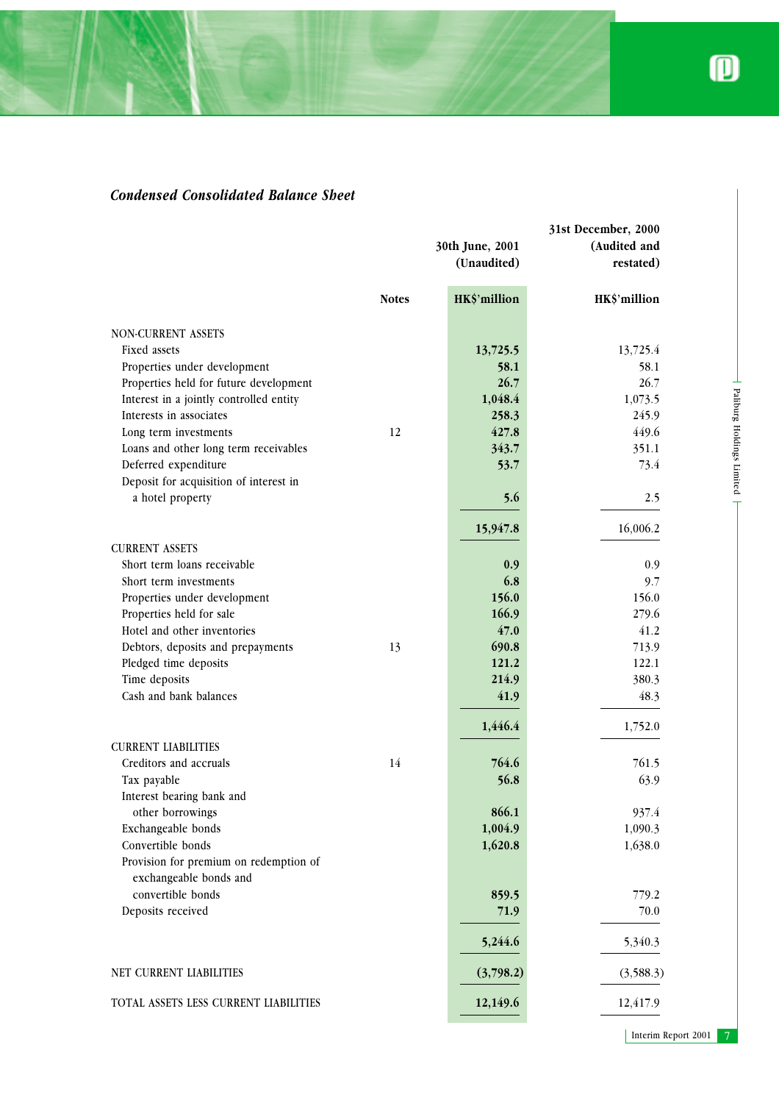Paliburg Holdings Limited

 $\top$ 

- Paliburg Holdings Limited

## *Condensed Consolidated Balance Sheet*

|                                                                  | 31st December, 2000 |                 |              |
|------------------------------------------------------------------|---------------------|-----------------|--------------|
|                                                                  |                     | 30th June, 2001 | (Audited and |
|                                                                  | (Unaudited)         |                 | restated)    |
|                                                                  | <b>Notes</b>        | HK\$'million    | HK\$'million |
| NON-CURRENT ASSETS                                               |                     |                 |              |
| Fixed assets                                                     |                     | 13,725.5        | 13,725.4     |
| Properties under development                                     |                     | 58.1            | 58.1         |
| Properties held for future development                           |                     | 26.7            | 26.7         |
| Interest in a jointly controlled entity                          |                     | 1,048.4         | 1,073.5      |
| Interests in associates                                          |                     | 258.3           | 245.9        |
| Long term investments                                            | 12                  | 427.8           | 449.6        |
| Loans and other long term receivables                            |                     | 343.7           | 351.1        |
| Deferred expenditure                                             |                     | 53.7            | 73.4         |
| Deposit for acquisition of interest in                           |                     |                 |              |
| a hotel property                                                 |                     | 5.6             | 2.5          |
|                                                                  |                     | 15,947.8        | 16,006.2     |
| <b>CURRENT ASSETS</b>                                            |                     |                 |              |
| Short term loans receivable                                      |                     | 0.9             | 0.9          |
| Short term investments                                           |                     | 6.8             | 9.7          |
| Properties under development                                     |                     | 156.0           | 156.0        |
| Properties held for sale                                         |                     | 166.9           | 279.6        |
| Hotel and other inventories                                      |                     | 47.0            | 41.2         |
| Debtors, deposits and prepayments                                | 13                  | 690.8           | 713.9        |
| Pledged time deposits                                            |                     | 121.2           | 122.1        |
| Time deposits                                                    |                     | 214.9           | 380.3        |
| Cash and bank balances                                           |                     | 41.9            | 48.3         |
|                                                                  |                     | 1,446.4         | 1,752.0      |
| <b>CURRENT LIABILITIES</b>                                       |                     |                 |              |
| Creditors and accruals                                           | 14                  | 764.6           | 761.5        |
| Tax payable                                                      |                     | 56.8            | 63.9         |
| Interest bearing bank and                                        |                     |                 |              |
| other borrowings                                                 |                     | 866.1           | 937.4        |
| Exchangeable bonds                                               |                     | 1,004.9         | 1,090.3      |
| Convertible bonds                                                |                     | 1,620.8         | 1,638.0      |
| Provision for premium on redemption of<br>exchangeable bonds and |                     |                 |              |
| convertible bonds                                                |                     | 859.5           | 779.2        |
| Deposits received                                                |                     | 71.9            | 70.0         |
|                                                                  |                     |                 |              |
|                                                                  |                     | 5,244.6         | 5,340.3      |
| NET CURRENT LIABILITIES                                          |                     | (3,798.2)       | (3,588.3)    |
| TOTAL ASSETS LESS CURRENT LIABILITIES                            |                     | 12,149.6        | 12,417.9     |

Interim Report 2001 7